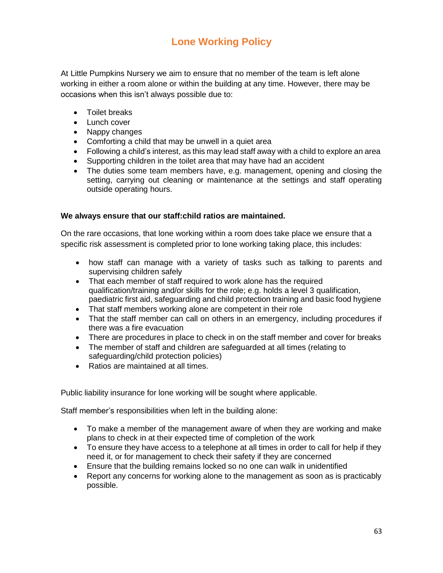## **Lone Working Policy**

At Little Pumpkins Nursery we aim to ensure that no member of the team is left alone working in either a room alone or within the building at any time. However, there may be occasions when this isn't always possible due to:

- Toilet breaks
- Lunch cover
- Nappy changes
- Comforting a child that may be unwell in a quiet area
- Following a child's interest, as this may lead staff away with a child to explore an area
- Supporting children in the toilet area that may have had an accident
- The duties some team members have, e.g. management, opening and closing the setting, carrying out cleaning or maintenance at the settings and staff operating outside operating hours.

## **We always ensure that our staff:child ratios are maintained.**

On the rare occasions, that lone working within a room does take place we ensure that a specific risk assessment is completed prior to lone working taking place, this includes:

- how staff can manage with a variety of tasks such as talking to parents and supervising children safely
- That each member of staff required to work alone has the required qualification/training and/or skills for the role; e.g. holds a level 3 qualification, paediatric first aid, safeguarding and child protection training and basic food hygiene
- That staff members working alone are competent in their role
- That the staff member can call on others in an emergency, including procedures if there was a fire evacuation
- There are procedures in place to check in on the staff member and cover for breaks
- The member of staff and children are safeguarded at all times (relating to safeguarding/child protection policies)
- Ratios are maintained at all times.

Public liability insurance for lone working will be sought where applicable.

Staff member's responsibilities when left in the building alone:

- To make a member of the management aware of when they are working and make plans to check in at their expected time of completion of the work
- To ensure they have access to a telephone at all times in order to call for help if they need it, or for management to check their safety if they are concerned
- Ensure that the building remains locked so no one can walk in unidentified
- Report any concerns for working alone to the management as soon as is practicably possible.